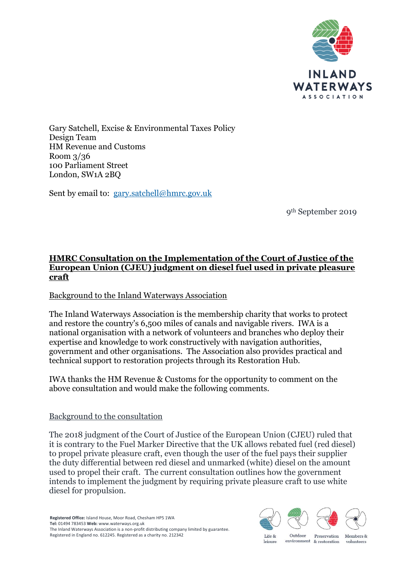

Gary Satchell, Excise & Environmental Taxes Policy Design Team HM Revenue and Customs Room 3/36 100 Parliament Street London, SW1A 2BQ

Sent by email to: [gary.satchell@hmrc.gov.uk](mailto:gary.satchell@hmrc.gov.uk)

9th September 2019

# **HMRC Consultation on the Implementation of the Court of Justice of the European Union (CJEU) judgment on diesel fuel used in private pleasure craft**

# Background to the Inland Waterways Association

The Inland Waterways Association is the membership charity that works to protect and restore the country's 6,500 miles of canals and navigable rivers. IWA is a national organisation with a network of volunteers and branches who deploy their expertise and knowledge to work constructively with navigation authorities, government and other organisations. The Association also provides practical and technical support to restoration projects through its Restoration Hub.

IWA thanks the HM Revenue & Customs for the opportunity to comment on the above consultation and would make the following comments.

#### Background to the consultation

The 2018 judgment of the Court of Justice of the European Union (CJEU) ruled that it is contrary to the Fuel Marker Directive that the UK allows rebated fuel (red diesel) to propel private pleasure craft, even though the user of the fuel pays their supplier the duty differential between red diesel and unmarked (white) diesel on the amount used to propel their craft. The current consultation outlines how the government intends to implement the judgment by requiring private pleasure craft to use white diesel for propulsion.



leisure

volunteers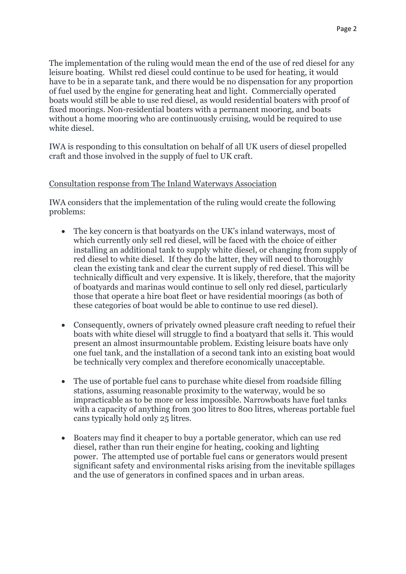The implementation of the ruling would mean the end of the use of red diesel for any leisure boating. Whilst red diesel could continue to be used for heating, it would have to be in a separate tank, and there would be no dispensation for any proportion of fuel used by the engine for generating heat and light. Commercially operated boats would still be able to use red diesel, as would residential boaters with proof of fixed moorings. Non-residential boaters with a permanent mooring, and boats without a home mooring who are continuously cruising, would be required to use white diesel.

IWA is responding to this consultation on behalf of all UK users of diesel propelled craft and those involved in the supply of fuel to UK craft.

#### Consultation response from The Inland Waterways Association

IWA considers that the implementation of the ruling would create the following problems:

- The key concern is that boatyards on the UK's inland waterways, most of which currently only sell red diesel, will be faced with the choice of either installing an additional tank to supply white diesel, or changing from supply of red diesel to white diesel. If they do the latter, they will need to thoroughly clean the existing tank and clear the current supply of red diesel. This will be technically difficult and very expensive. It is likely, therefore, that the majority of boatyards and marinas would continue to sell only red diesel, particularly those that operate a hire boat fleet or have residential moorings (as both of these categories of boat would be able to continue to use red diesel).
- Consequently, owners of privately owned pleasure craft needing to refuel their boats with white diesel will struggle to find a boatyard that sells it. This would present an almost insurmountable problem. Existing leisure boats have only one fuel tank, and the installation of a second tank into an existing boat would be technically very complex and therefore economically unacceptable.
- The use of portable fuel cans to purchase white diesel from roadside filling stations, assuming reasonable proximity to the waterway, would be so impracticable as to be more or less impossible. Narrowboats have fuel tanks with a capacity of anything from 300 litres to 800 litres, whereas portable fuel cans typically hold only 25 litres.
- Boaters may find it cheaper to buy a portable generator, which can use red diesel, rather than run their engine for heating, cooking and lighting power. The attempted use of portable fuel cans or generators would present significant safety and environmental risks arising from the inevitable spillages and the use of generators in confined spaces and in urban areas.